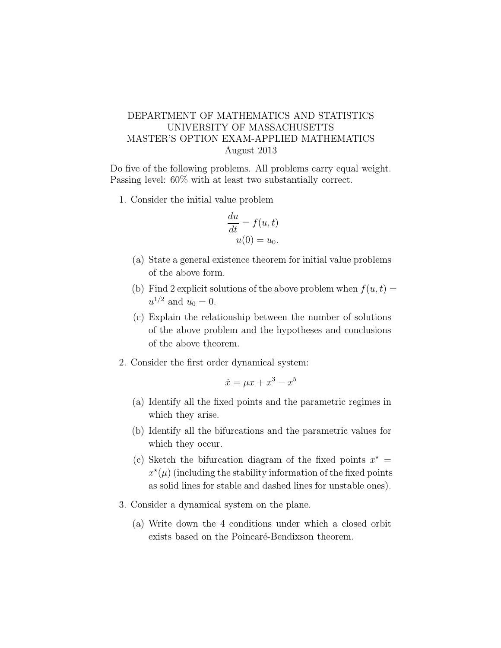## DEPARTMENT OF MATHEMATICS AND STATISTICS UNIVERSITY OF MASSACHUSETTS MASTER'S OPTION EXAM-APPLIED MATHEMATICS August 2013

Do five of the following problems. All problems carry equal weight. Passing level: 60% with at least two substantially correct.

1. Consider the initial value problem

$$
\frac{du}{dt} = f(u, t)
$$

$$
u(0) = u_0.
$$

- (a) State a general existence theorem for initial value problems of the above form.
- (b) Find 2 explicit solutions of the above problem when  $f(u, t) =$  $u^{1/2}$  and  $u_0 = 0$ .
- (c) Explain the relationship between the number of solutions of the above problem and the hypotheses and conclusions of the above theorem.
- 2. Consider the first order dynamical system:

$$
\dot{x} = \mu x + x^3 - x^5
$$

- (a) Identify all the fixed points and the parametric regimes in which they arise.
- (b) Identify all the bifurcations and the parametric values for which they occur.
- (c) Sketch the bifurcation diagram of the fixed points  $x^* =$  $x^{\star}(\mu)$  (including the stability information of the fixed points as solid lines for stable and dashed lines for unstable ones).
- 3. Consider a dynamical system on the plane.
	- (a) Write down the 4 conditions under which a closed orbit exists based on the Poincaré-Bendixson theorem.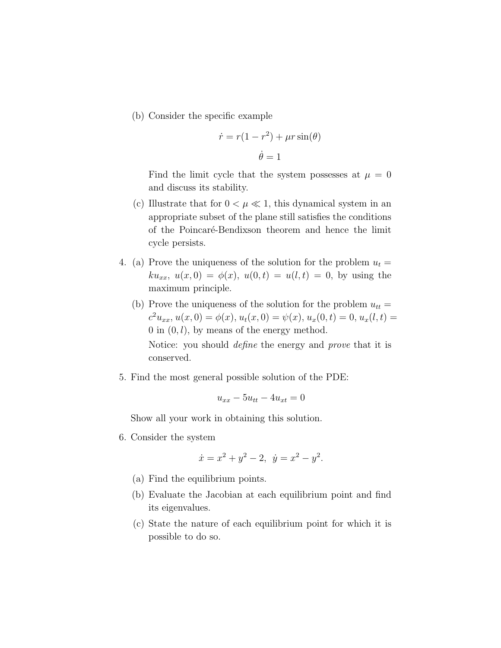(b) Consider the specific example

$$
\dot{r} = r(1 - r^2) + \mu r \sin(\theta)
$$

$$
\dot{\theta} = 1
$$

Find the limit cycle that the system possesses at  $\mu = 0$ and discuss its stability.

- (c) Illustrate that for  $0 < \mu \ll 1$ , this dynamical system in an appropriate subset of the plane still satisfies the conditions of the Poincaré-Bendixson theorem and hence the limit cycle persists.
- 4. (a) Prove the uniqueness of the solution for the problem  $u_t =$  $ku_{xx}, u(x,0) = \phi(x), u(0,t) = u(l,t) = 0$ , by using the maximum principle.
	- (b) Prove the uniqueness of the solution for the problem  $u_{tt} =$  $c^2u_{xx}, u(x,0) = \phi(x), u_t(x,0) = \psi(x), u_x(0,t) = 0, u_x(l,t) =$ 0 in  $(0, l)$ , by means of the energy method. Notice: you should *define* the energy and *prove* that it is conserved.
- 5. Find the most general possible solution of the PDE:

$$
u_{xx} - 5u_{tt} - 4u_{xt} = 0
$$

Show all your work in obtaining this solution.

6. Consider the system

$$
\dot{x} = x^2 + y^2 - 2, \ \dot{y} = x^2 - y^2.
$$

- (a) Find the equilibrium points.
- (b) Evaluate the Jacobian at each equilibrium point and find its eigenvalues.
- (c) State the nature of each equilibrium point for which it is possible to do so.